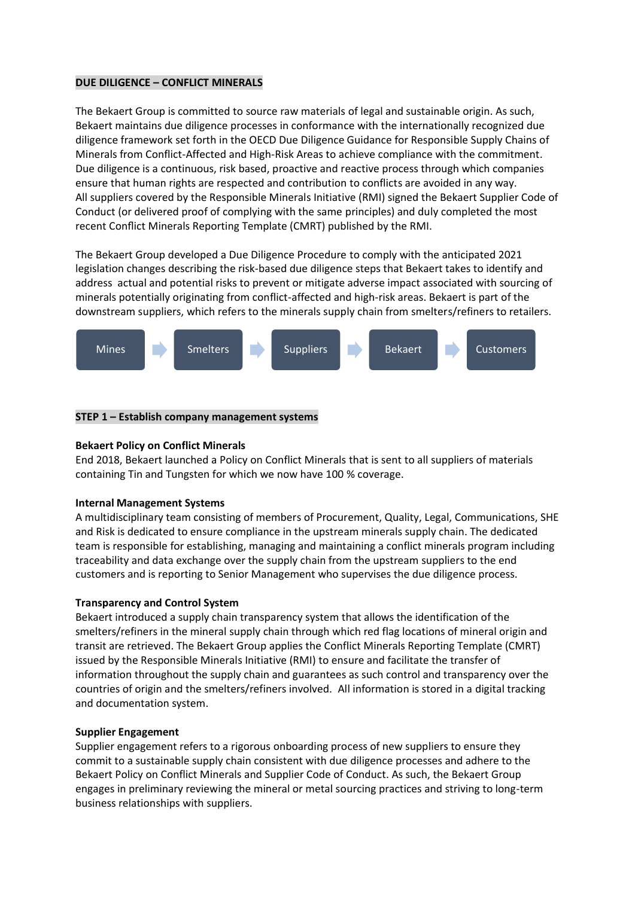# **DUE DILIGENCE – CONFLICT MINERALS**

The Bekaert Group is committed to source raw materials of legal and sustainable origin. As such, Bekaert maintains due diligence processes in conformance with the internationally recognized due diligence framework set forth in the OECD Due Diligence Guidance for Responsible Supply Chains of Minerals from Conflict-Affected and High-Risk Areas to achieve compliance with the commitment. Due diligence is a continuous, risk based, proactive and reactive process through which companies ensure that human rights are respected and contribution to conflicts are avoided in any way. All suppliers covered by the Responsible Minerals Initiative (RMI) signed the Bekaert Supplier Code of Conduct (or delivered proof of complying with the same principles) and duly completed the most recent Conflict Minerals Reporting Template (CMRT) published by the RMI.

The Bekaert Group developed a Due Diligence Procedure to comply with the anticipated 2021 legislation changes describing the risk-based due diligence steps that Bekaert takes to identify and address actual and potential risks to prevent or mitigate adverse impact associated with sourcing of minerals potentially originating from conflict-affected and high-risk areas. Bekaert is part of the downstream suppliers, which refers to the minerals supply chain from smelters/refiners to retailers.



# **STEP 1 – Establish company management systems**

#### **Bekaert Policy on Conflict Minerals**

End 2018, Bekaert launched a Policy on Conflict Minerals that is sent to all suppliers of materials containing Tin and Tungsten for which we now have 100 % coverage.

#### **Internal Management Systems**

A multidisciplinary team consisting of members of Procurement, Quality, Legal, Communications, SHE and Risk is dedicated to ensure compliance in the upstream minerals supply chain. The dedicated team is responsible for establishing, managing and maintaining a conflict minerals program including traceability and data exchange over the supply chain from the upstream suppliers to the end customers and is reporting to Senior Management who supervises the due diligence process.

# **Transparency and Control System**

Bekaert introduced a supply chain transparency system that allows the identification of the smelters/refiners in the mineral supply chain through which red flag locations of mineral origin and transit are retrieved. The Bekaert Group applies the Conflict Minerals Reporting Template (CMRT) issued by the Responsible Minerals Initiative (RMI) to ensure and facilitate the transfer of information throughout the supply chain and guarantees as such control and transparency over the countries of origin and the smelters/refiners involved. All information is stored in a digital tracking and documentation system.

# **Supplier Engagement**

Supplier engagement refers to a rigorous onboarding process of new suppliers to ensure they commit to a sustainable supply chain consistent with due diligence processes and adhere to the Bekaert Policy on Conflict Minerals and Supplier Code of Conduct. As such, the Bekaert Group engages in preliminary reviewing the mineral or metal sourcing practices and striving to long-term business relationships with suppliers.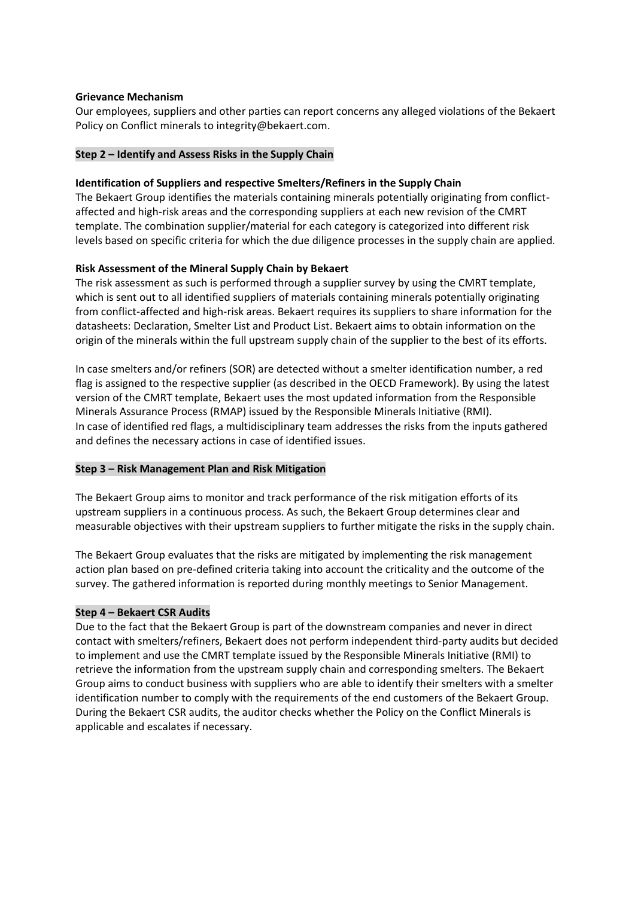# **Grievance Mechanism**

Our employees, suppliers and other parties can report concerns any alleged violations of the Bekaert Policy on Conflict minerals to integrity@bekaert.com.

# **Step 2 – Identify and Assess Risks in the Supply Chain**

# **Identification of Suppliers and respective Smelters/Refiners in the Supply Chain**

The Bekaert Group identifies the materials containing minerals potentially originating from conflictaffected and high-risk areas and the corresponding suppliers at each new revision of the CMRT template. The combination supplier/material for each category is categorized into different risk levels based on specific criteria for which the due diligence processes in the supply chain are applied.

# **Risk Assessment of the Mineral Supply Chain by Bekaert**

The risk assessment as such is performed through a supplier survey by using the CMRT template, which is sent out to all identified suppliers of materials containing minerals potentially originating from conflict-affected and high-risk areas. Bekaert requires its suppliers to share information for the datasheets: Declaration, Smelter List and Product List. Bekaert aims to obtain information on the origin of the minerals within the full upstream supply chain of the supplier to the best of its efforts.

In case smelters and/or refiners (SOR) are detected without a smelter identification number, a red flag is assigned to the respective supplier (as described in the OECD Framework). By using the latest version of the CMRT template, Bekaert uses the most updated information from the Responsible Minerals Assurance Process (RMAP) issued by the Responsible Minerals Initiative (RMI). In case of identified red flags, a multidisciplinary team addresses the risks from the inputs gathered and defines the necessary actions in case of identified issues.

# **Step 3 – Risk Management Plan and Risk Mitigation**

The Bekaert Group aims to monitor and track performance of the risk mitigation efforts of its upstream suppliers in a continuous process. As such, the Bekaert Group determines clear and measurable objectives with their upstream suppliers to further mitigate the risks in the supply chain.

The Bekaert Group evaluates that the risks are mitigated by implementing the risk management action plan based on pre-defined criteria taking into account the criticality and the outcome of the survey. The gathered information is reported during monthly meetings to Senior Management.

# **Step 4 – Bekaert CSR Audits**

Due to the fact that the Bekaert Group is part of the downstream companies and never in direct contact with smelters/refiners, Bekaert does not perform independent third-party audits but decided to implement and use the CMRT template issued by the Responsible Minerals Initiative (RMI) to retrieve the information from the upstream supply chain and corresponding smelters. The Bekaert Group aims to conduct business with suppliers who are able to identify their smelters with a smelter identification number to comply with the requirements of the end customers of the Bekaert Group. During the Bekaert CSR audits, the auditor checks whether the Policy on the Conflict Minerals is applicable and escalates if necessary.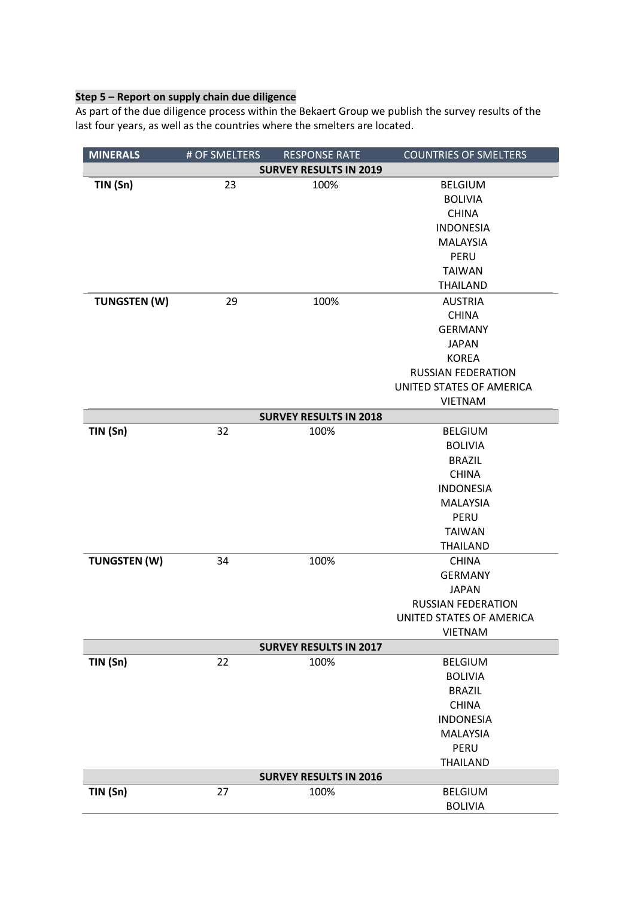# **Step 5 – Report on supply chain due diligence**

As part of the due diligence process within the Bekaert Group we publish the survey results of the last four years, as well as the countries where the smelters are located.

| <b>MINERALS</b>               | # OF SMELTERS | <b>RESPONSE RATE</b> | <b>COUNTRIES OF SMELTERS</b> |  |
|-------------------------------|---------------|----------------------|------------------------------|--|
| <b>SURVEY RESULTS IN 2019</b> |               |                      |                              |  |
| TIN (Sn)                      | 23            | 100%                 | <b>BELGIUM</b>               |  |
|                               |               |                      | <b>BOLIVIA</b>               |  |
|                               |               |                      | <b>CHINA</b>                 |  |
|                               |               |                      | <b>INDONESIA</b>             |  |
|                               |               |                      | <b>MALAYSIA</b>              |  |
|                               |               |                      | PERU                         |  |
|                               |               |                      | <b>TAIWAN</b>                |  |
|                               |               |                      | <b>THAILAND</b>              |  |
| <b>TUNGSTEN (W)</b>           | 29            | 100%                 | <b>AUSTRIA</b>               |  |
|                               |               |                      | <b>CHINA</b>                 |  |
|                               |               |                      | <b>GERMANY</b>               |  |
|                               |               |                      | <b>JAPAN</b>                 |  |
|                               |               |                      | <b>KOREA</b>                 |  |
|                               |               |                      | <b>RUSSIAN FEDERATION</b>    |  |
|                               |               |                      | UNITED STATES OF AMERICA     |  |
|                               |               |                      | <b>VIETNAM</b>               |  |
| <b>SURVEY RESULTS IN 2018</b> |               |                      |                              |  |
| TIN (Sn)                      | 32            | 100%                 | <b>BELGIUM</b>               |  |
|                               |               |                      | <b>BOLIVIA</b>               |  |
|                               |               |                      | <b>BRAZIL</b>                |  |
|                               |               |                      | <b>CHINA</b>                 |  |
|                               |               |                      | <b>INDONESIA</b>             |  |
|                               |               |                      | <b>MALAYSIA</b>              |  |
|                               |               |                      | PERU                         |  |
|                               |               |                      | <b>TAIWAN</b>                |  |
|                               |               |                      | <b>THAILAND</b>              |  |
| <b>TUNGSTEN (W)</b>           | 34            | 100%                 | <b>CHINA</b>                 |  |
|                               |               |                      | <b>GERMANY</b>               |  |
|                               |               |                      | <b>JAPAN</b>                 |  |
|                               |               |                      | <b>RUSSIAN FEDERATION</b>    |  |
|                               |               |                      | UNITED STATES OF AMERICA     |  |
|                               |               |                      | <b>VIETNAM</b>               |  |
| <b>SURVEY RESULTS IN 2017</b> |               |                      |                              |  |
| TIN (Sn)                      | 22            | 100%                 | <b>BELGIUM</b>               |  |
|                               |               |                      | <b>BOLIVIA</b>               |  |
|                               |               |                      | <b>BRAZIL</b>                |  |
|                               |               |                      | <b>CHINA</b>                 |  |
|                               |               |                      | <b>INDONESIA</b>             |  |
|                               |               |                      | <b>MALAYSIA</b>              |  |
|                               |               |                      | <b>PERU</b>                  |  |
|                               |               |                      | <b>THAILAND</b>              |  |
| <b>SURVEY RESULTS IN 2016</b> |               |                      |                              |  |
| TIN (Sn)                      | 27            | 100%                 | <b>BELGIUM</b>               |  |
|                               |               |                      | <b>BOLIVIA</b>               |  |